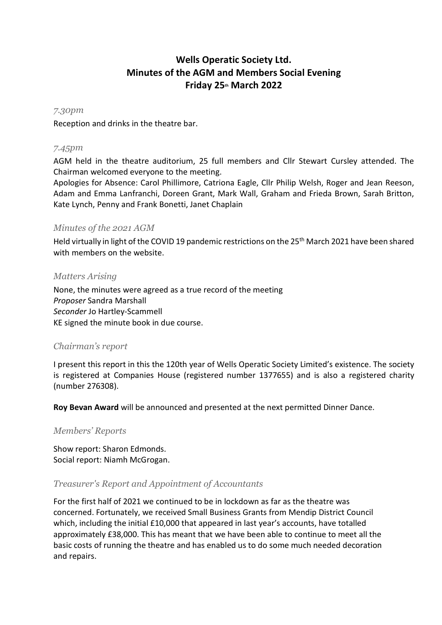# **Wells Operatic Society Ltd. Minutes of the AGM and Members Social Evening Friday 25th March 2022**

#### *7.30pm*

Reception and drinks in the theatre bar.

#### *7.45pm*

AGM held in the theatre auditorium, 25 full members and Cllr Stewart Cursley attended. The Chairman welcomed everyone to the meeting.

Apologies for Absence: Carol Phillimore, Catriona Eagle, Cllr Philip Welsh, Roger and Jean Reeson, Adam and Emma Lanfranchi, Doreen Grant, Mark Wall, Graham and Frieda Brown, Sarah Britton, Kate Lynch, Penny and Frank Bonetti, Janet Chaplain

#### *Minutes of the 2021 AGM*

Held virtually in light of the COVID 19 pandemic restrictions on the 25<sup>th</sup> March 2021 have been shared with members on the website.

#### *Matters Arising*

None, the minutes were agreed as a true record of the meeting *Proposer* Sandra Marshall *Seconder* Jo Hartley-Scammell KE signed the minute book in due course.

## *Chairman's report*

I present this report in this the 120th year of Wells Operatic Society Limited's existence. The society is registered at Companies House (registered number 1377655) and is also a registered charity (number 276308).

**Roy Bevan Award** will be announced and presented at the next permitted Dinner Dance.

#### *Members' Reports*

Show report: Sharon Edmonds. Social report: Niamh McGrogan.

#### *Treasurer's Report and Appointment of Accountants*

For the first half of 2021 we continued to be in lockdown as far as the theatre was concerned. Fortunately, we received Small Business Grants from Mendip District Council which, including the initial £10,000 that appeared in last year's accounts, have totalled approximately £38,000. This has meant that we have been able to continue to meet all the basic costs of running the theatre and has enabled us to do some much needed decoration and repairs.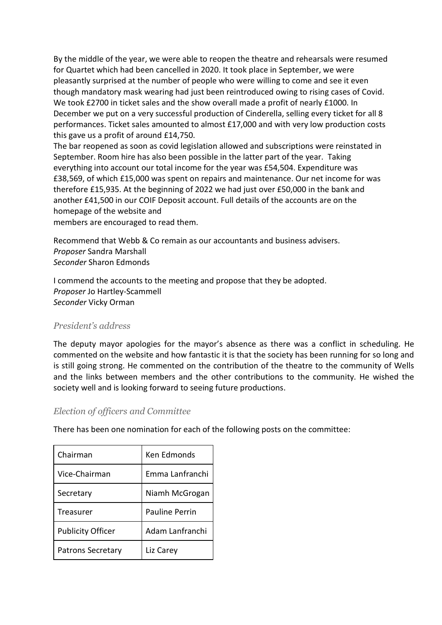By the middle of the year, we were able to reopen the theatre and rehearsals were resumed for Quartet which had been cancelled in 2020. It took place in September, we were pleasantly surprised at the number of people who were willing to come and see it even though mandatory mask wearing had just been reintroduced owing to rising cases of Covid. We took £2700 in ticket sales and the show overall made a profit of nearly £1000. In December we put on a very successful production of Cinderella, selling every ticket for all 8 performances. Ticket sales amounted to almost £17,000 and with very low production costs this gave us a profit of around £14,750.

The bar reopened as soon as covid legislation allowed and subscriptions were reinstated in September. Room hire has also been possible in the latter part of the year. Taking everything into account our total income for the year was £54,504. Expenditure was £38,569, of which £15,000 was spent on repairs and maintenance. Our net income for was therefore £15,935. At the beginning of 2022 we had just over £50,000 in the bank and another £41,500 in our COIF Deposit account. Full details of the accounts are on the homepage of the website and

members are encouraged to read them.

Recommend that Webb & Co remain as our accountants and business advisers. *Proposer* Sandra Marshall *Seconder* Sharon Edmonds

I commend the accounts to the meeting and propose that they be adopted. *Proposer* Jo Hartley-Scammell *Seconder* Vicky Orman

## *President's address*

The deputy mayor apologies for the mayor's absence as there was a conflict in scheduling. He commented on the website and how fantastic it is that the society has been running for so long and is still going strong. He commented on the contribution of the theatre to the community of Wells and the links between members and the other contributions to the community. He wished the society well and is looking forward to seeing future productions.

## *Election of officers and Committee*

There has been one nomination for each of the following posts on the committee:

| Chairman                 | Ken Edmonds           |
|--------------------------|-----------------------|
| Vice-Chairman            | Emma Lanfranchi       |
| Secretary                | Niamh McGrogan        |
| Treasurer                | <b>Pauline Perrin</b> |
| <b>Publicity Officer</b> | Adam Lanfranchi       |
| <b>Patrons Secretary</b> | Liz Carey             |